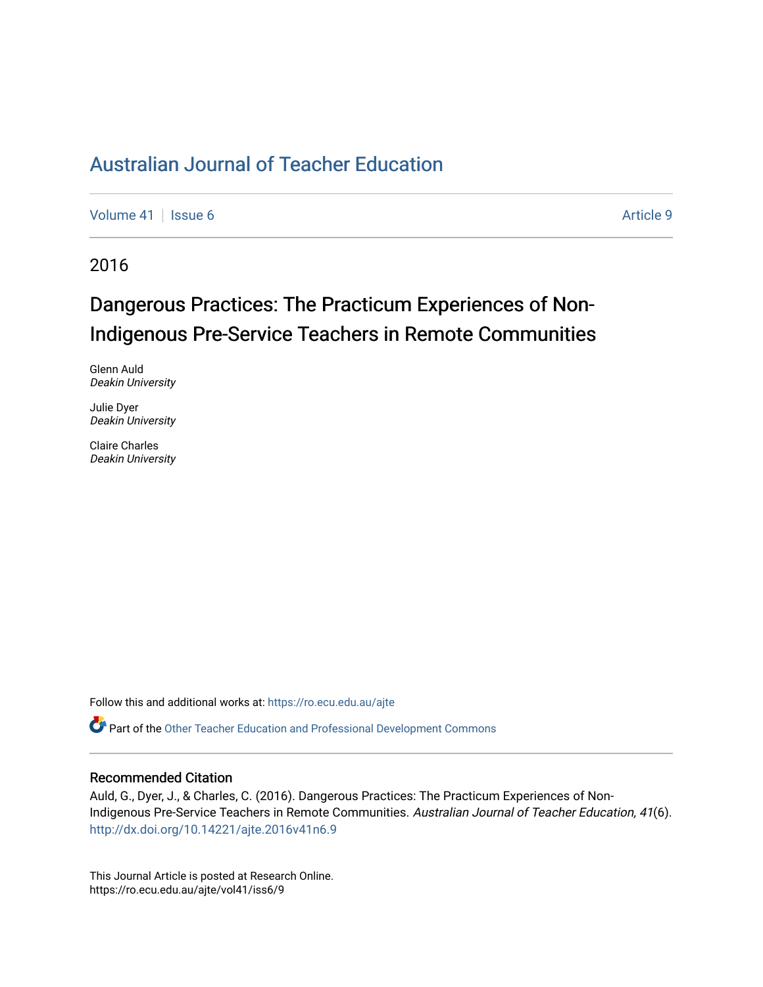[Volume 41](https://ro.ecu.edu.au/ajte/vol41) | [Issue 6](https://ro.ecu.edu.au/ajte/vol41/iss6) Article 9

2016

# Dangerous Practices: The Practicum Experiences of Non-Indigenous Pre-Service Teachers in Remote Communities

Glenn Auld Deakin University

Julie Dyer Deakin University

Claire Charles Deakin University

Follow this and additional works at: [https://ro.ecu.edu.au/ajte](https://ro.ecu.edu.au/ajte?utm_source=ro.ecu.edu.au%2Fajte%2Fvol41%2Fiss6%2F9&utm_medium=PDF&utm_campaign=PDFCoverPages) 

Part of the [Other Teacher Education and Professional Development Commons](http://network.bepress.com/hgg/discipline/810?utm_source=ro.ecu.edu.au%2Fajte%2Fvol41%2Fiss6%2F9&utm_medium=PDF&utm_campaign=PDFCoverPages) 

#### Recommended Citation

Auld, G., Dyer, J., & Charles, C. (2016). Dangerous Practices: The Practicum Experiences of Non-Indigenous Pre-Service Teachers in Remote Communities. Australian Journal of Teacher Education, 41(6). <http://dx.doi.org/10.14221/ajte.2016v41n6.9>

This Journal Article is posted at Research Online. https://ro.ecu.edu.au/ajte/vol41/iss6/9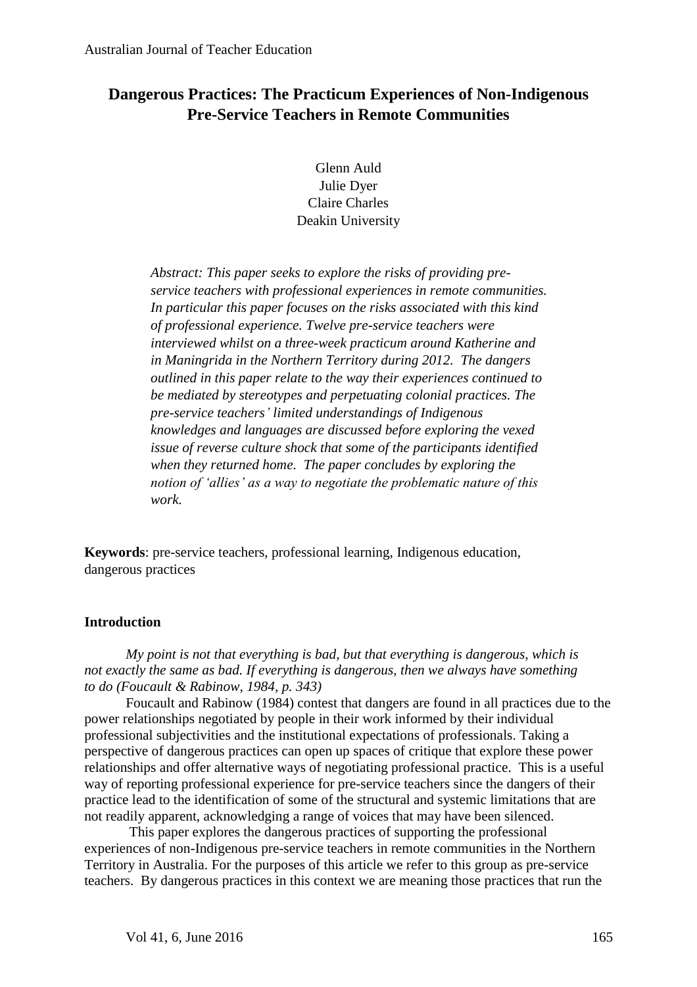## **Dangerous Practices: The Practicum Experiences of Non-Indigenous Pre-Service Teachers in Remote Communities**

Glenn Auld Julie Dyer Claire Charles Deakin University

*Abstract: This paper seeks to explore the risks of providing preservice teachers with professional experiences in remote communities. In particular this paper focuses on the risks associated with this kind of professional experience. Twelve pre-service teachers were interviewed whilst on a three-week practicum around Katherine and in Maningrida in the Northern Territory during 2012. The dangers outlined in this paper relate to the way their experiences continued to be mediated by stereotypes and perpetuating colonial practices. The pre-service teachers' limited understandings of Indigenous knowledges and languages are discussed before exploring the vexed issue of reverse culture shock that some of the participants identified when they returned home. The paper concludes by exploring the notion of 'allies' as a way to negotiate the problematic nature of this work.*

**Keywords**: pre-service teachers, professional learning, Indigenous education, dangerous practices

## **Introduction**

*My point is not that everything is bad, but that everything is dangerous, which is not exactly the same as bad. If everything is dangerous, then we always have something to do (Foucault & Rabinow, 1984, p. 343)*

Foucault and Rabinow (1984) contest that dangers are found in all practices due to the power relationships negotiated by people in their work informed by their individual professional subjectivities and the institutional expectations of professionals. Taking a perspective of dangerous practices can open up spaces of critique that explore these power relationships and offer alternative ways of negotiating professional practice. This is a useful way of reporting professional experience for pre-service teachers since the dangers of their practice lead to the identification of some of the structural and systemic limitations that are not readily apparent, acknowledging a range of voices that may have been silenced.

This paper explores the dangerous practices of supporting the professional experiences of non-Indigenous pre-service teachers in remote communities in the Northern Territory in Australia. For the purposes of this article we refer to this group as pre-service teachers. By dangerous practices in this context we are meaning those practices that run the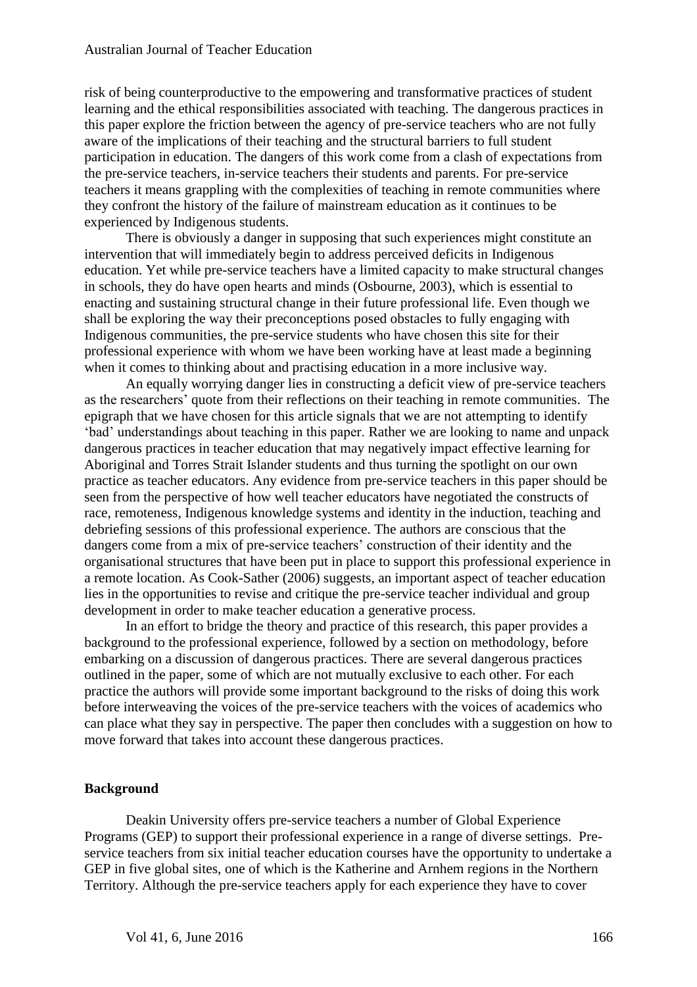risk of being counterproductive to the empowering and transformative practices of student learning and the ethical responsibilities associated with teaching. The dangerous practices in this paper explore the friction between the agency of pre-service teachers who are not fully aware of the implications of their teaching and the structural barriers to full student participation in education. The dangers of this work come from a clash of expectations from the pre-service teachers, in-service teachers their students and parents. For pre-service teachers it means grappling with the complexities of teaching in remote communities where they confront the history of the failure of mainstream education as it continues to be experienced by Indigenous students.

There is obviously a danger in supposing that such experiences might constitute an intervention that will immediately begin to address perceived deficits in Indigenous education. Yet while pre-service teachers have a limited capacity to make structural changes in schools, they do have open hearts and minds (Osbourne, 2003), which is essential to enacting and sustaining structural change in their future professional life. Even though we shall be exploring the way their preconceptions posed obstacles to fully engaging with Indigenous communities, the pre-service students who have chosen this site for their professional experience with whom we have been working have at least made a beginning when it comes to thinking about and practising education in a more inclusive way.

An equally worrying danger lies in constructing a deficit view of pre-service teachers as the researchers' quote from their reflections on their teaching in remote communities. The epigraph that we have chosen for this article signals that we are not attempting to identify 'bad' understandings about teaching in this paper. Rather we are looking to name and unpack dangerous practices in teacher education that may negatively impact effective learning for Aboriginal and Torres Strait Islander students and thus turning the spotlight on our own practice as teacher educators. Any evidence from pre-service teachers in this paper should be seen from the perspective of how well teacher educators have negotiated the constructs of race, remoteness, Indigenous knowledge systems and identity in the induction, teaching and debriefing sessions of this professional experience. The authors are conscious that the dangers come from a mix of pre-service teachers' construction of their identity and the organisational structures that have been put in place to support this professional experience in a remote location. As Cook-Sather (2006) suggests, an important aspect of teacher education lies in the opportunities to revise and critique the pre-service teacher individual and group development in order to make teacher education a generative process.

In an effort to bridge the theory and practice of this research, this paper provides a background to the professional experience, followed by a section on methodology, before embarking on a discussion of dangerous practices. There are several dangerous practices outlined in the paper, some of which are not mutually exclusive to each other. For each practice the authors will provide some important background to the risks of doing this work before interweaving the voices of the pre-service teachers with the voices of academics who can place what they say in perspective. The paper then concludes with a suggestion on how to move forward that takes into account these dangerous practices.

## **Background**

Deakin University offers pre-service teachers a number of Global Experience Programs (GEP) to support their professional experience in a range of diverse settings. Preservice teachers from six initial teacher education courses have the opportunity to undertake a GEP in five global sites, one of which is the Katherine and Arnhem regions in the Northern Territory. Although the pre-service teachers apply for each experience they have to cover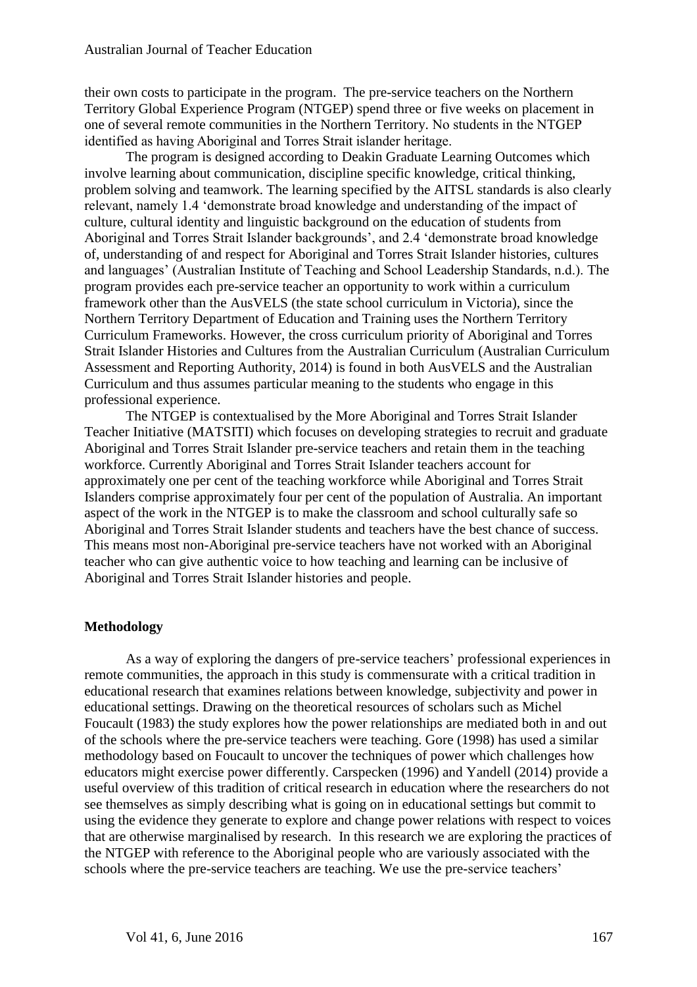their own costs to participate in the program. The pre-service teachers on the Northern Territory Global Experience Program (NTGEP) spend three or five weeks on placement in one of several remote communities in the Northern Territory. No students in the NTGEP identified as having Aboriginal and Torres Strait islander heritage.

The program is designed according to Deakin Graduate Learning Outcomes which involve learning about communication, discipline specific knowledge, critical thinking, problem solving and teamwork. The learning specified by the AITSL standards is also clearly relevant, namely 1.4 'demonstrate broad knowledge and understanding of the impact of culture, cultural identity and linguistic background on the education of students from Aboriginal and Torres Strait Islander backgrounds', and 2.4 'demonstrate broad knowledge of, understanding of and respect for Aboriginal and Torres Strait Islander histories, cultures and languages' (Australian Institute of Teaching and School Leadership Standards, n.d.). The program provides each pre-service teacher an opportunity to work within a curriculum framework other than the AusVELS (the state school curriculum in Victoria), since the Northern Territory Department of Education and Training uses the Northern Territory Curriculum Frameworks. However, the cross curriculum priority of Aboriginal and Torres Strait Islander Histories and Cultures from the Australian Curriculum (Australian Curriculum Assessment and Reporting Authority, 2014) is found in both AusVELS and the Australian Curriculum and thus assumes particular meaning to the students who engage in this professional experience.

The NTGEP is contextualised by the More Aboriginal and Torres Strait Islander Teacher Initiative (MATSITI) which focuses on developing strategies to recruit and graduate Aboriginal and Torres Strait Islander pre-service teachers and retain them in the teaching workforce. Currently Aboriginal and Torres Strait Islander teachers account for approximately one per cent of the teaching workforce while Aboriginal and Torres Strait Islanders comprise approximately four per cent of the population of Australia. An important aspect of the work in the NTGEP is to make the classroom and school culturally safe so Aboriginal and Torres Strait Islander students and teachers have the best chance of success. This means most non-Aboriginal pre-service teachers have not worked with an Aboriginal teacher who can give authentic voice to how teaching and learning can be inclusive of Aboriginal and Torres Strait Islander histories and people.

#### **Methodology**

As a way of exploring the dangers of pre-service teachers' professional experiences in remote communities, the approach in this study is commensurate with a critical tradition in educational research that examines relations between knowledge, subjectivity and power in educational settings. Drawing on the theoretical resources of scholars such as Michel Foucault (1983) the study explores how the power relationships are mediated both in and out of the schools where the pre-service teachers were teaching. Gore (1998) has used a similar methodology based on Foucault to uncover the techniques of power which challenges how educators might exercise power differently. Carspecken (1996) and Yandell (2014) provide a useful overview of this tradition of critical research in education where the researchers do not see themselves as simply describing what is going on in educational settings but commit to using the evidence they generate to explore and change power relations with respect to voices that are otherwise marginalised by research. In this research we are exploring the practices of the NTGEP with reference to the Aboriginal people who are variously associated with the schools where the pre-service teachers are teaching. We use the pre-service teachers'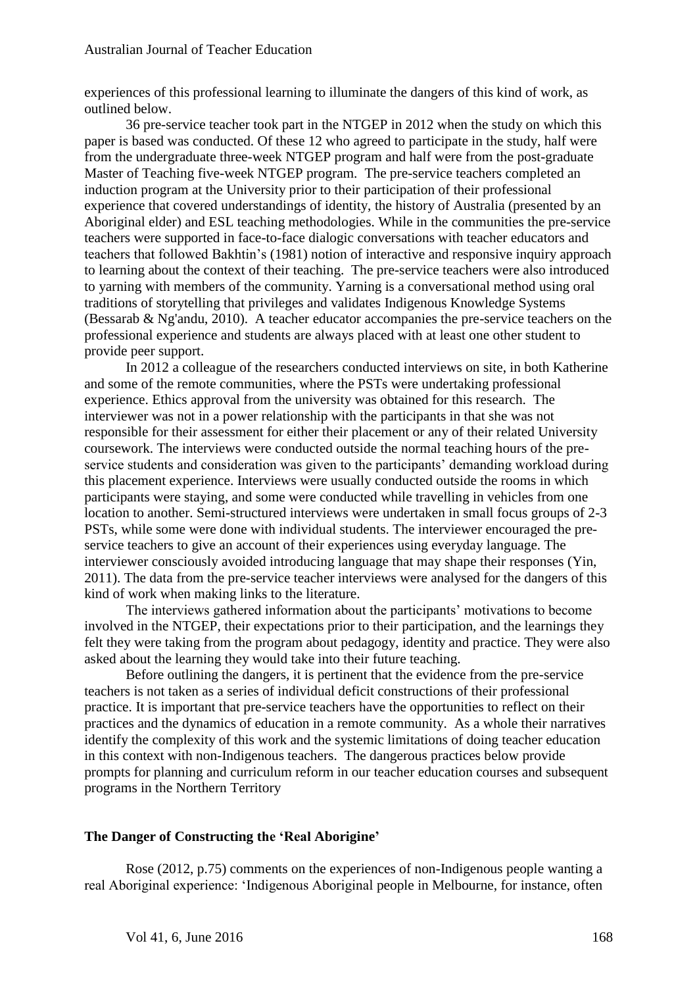experiences of this professional learning to illuminate the dangers of this kind of work, as outlined below.

36 pre-service teacher took part in the NTGEP in 2012 when the study on which this paper is based was conducted. Of these 12 who agreed to participate in the study, half were from the undergraduate three-week NTGEP program and half were from the post-graduate Master of Teaching five-week NTGEP program. The pre-service teachers completed an induction program at the University prior to their participation of their professional experience that covered understandings of identity, the history of Australia (presented by an Aboriginal elder) and ESL teaching methodologies. While in the communities the pre-service teachers were supported in face-to-face dialogic conversations with teacher educators and teachers that followed Bakhtin's (1981) notion of interactive and responsive inquiry approach to learning about the context of their teaching. The pre-service teachers were also introduced to yarning with members of the community. Yarning is a conversational method using oral traditions of storytelling that privileges and validates Indigenous Knowledge Systems (Bessarab & Ng'andu, 2010). A teacher educator accompanies the pre-service teachers on the professional experience and students are always placed with at least one other student to provide peer support.

In 2012 a colleague of the researchers conducted interviews on site, in both Katherine and some of the remote communities, where the PSTs were undertaking professional experience. Ethics approval from the university was obtained for this research. The interviewer was not in a power relationship with the participants in that she was not responsible for their assessment for either their placement or any of their related University coursework. The interviews were conducted outside the normal teaching hours of the preservice students and consideration was given to the participants' demanding workload during this placement experience. Interviews were usually conducted outside the rooms in which participants were staying, and some were conducted while travelling in vehicles from one location to another. Semi-structured interviews were undertaken in small focus groups of 2-3 PSTs, while some were done with individual students. The interviewer encouraged the preservice teachers to give an account of their experiences using everyday language. The interviewer consciously avoided introducing language that may shape their responses (Yin, 2011). The data from the pre-service teacher interviews were analysed for the dangers of this kind of work when making links to the literature.

The interviews gathered information about the participants' motivations to become involved in the NTGEP, their expectations prior to their participation, and the learnings they felt they were taking from the program about pedagogy, identity and practice. They were also asked about the learning they would take into their future teaching.

Before outlining the dangers, it is pertinent that the evidence from the pre-service teachers is not taken as a series of individual deficit constructions of their professional practice. It is important that pre-service teachers have the opportunities to reflect on their practices and the dynamics of education in a remote community. As a whole their narratives identify the complexity of this work and the systemic limitations of doing teacher education in this context with non-Indigenous teachers. The dangerous practices below provide prompts for planning and curriculum reform in our teacher education courses and subsequent programs in the Northern Territory

## **The Danger of Constructing the 'Real Aborigine'**

Rose (2012, p.75) comments on the experiences of non-Indigenous people wanting a real Aboriginal experience: 'Indigenous Aboriginal people in Melbourne, for instance, often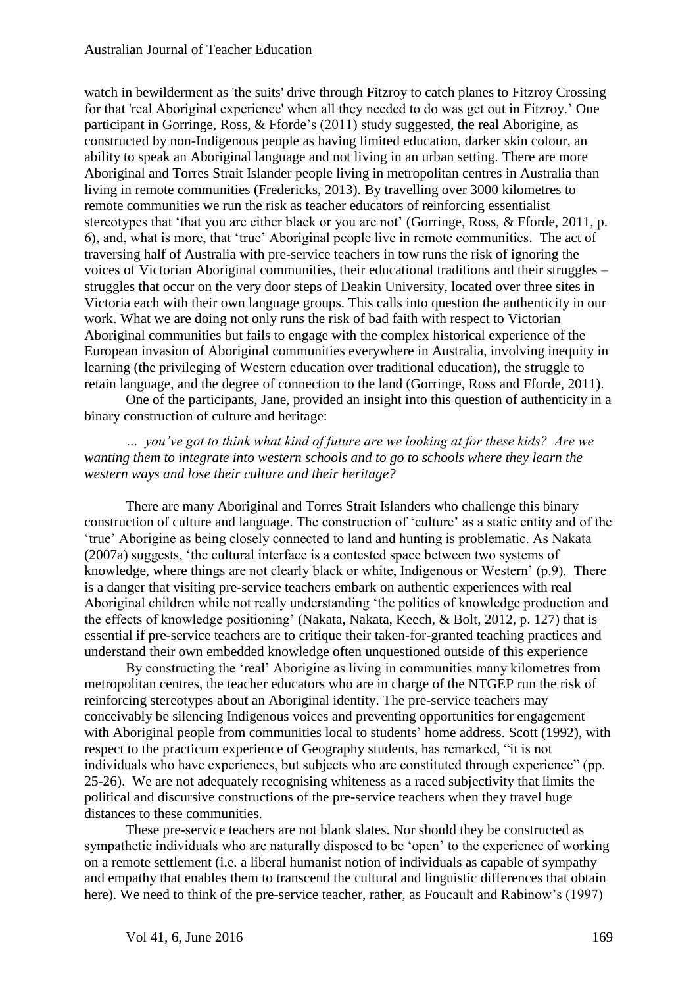watch in bewilderment as 'the suits' drive through Fitzroy to catch planes to Fitzroy Crossing for that 'real Aboriginal experience' when all they needed to do was get out in Fitzroy.' One participant in Gorringe, Ross, & Fforde's (2011) study suggested, the real Aborigine, as constructed by non-Indigenous people as having limited education, darker skin colour, an ability to speak an Aboriginal language and not living in an urban setting. There are more Aboriginal and Torres Strait Islander people living in metropolitan centres in Australia than living in remote communities (Fredericks, 2013). By travelling over 3000 kilometres to remote communities we run the risk as teacher educators of reinforcing essentialist stereotypes that 'that you are either black or you are not' (Gorringe, Ross, & Fforde, 2011, p. 6), and, what is more, that 'true' Aboriginal people live in remote communities. The act of traversing half of Australia with pre-service teachers in tow runs the risk of ignoring the voices of Victorian Aboriginal communities, their educational traditions and their struggles – struggles that occur on the very door steps of Deakin University, located over three sites in Victoria each with their own language groups. This calls into question the authenticity in our work. What we are doing not only runs the risk of bad faith with respect to Victorian Aboriginal communities but fails to engage with the complex historical experience of the European invasion of Aboriginal communities everywhere in Australia, involving inequity in learning (the privileging of Western education over traditional education), the struggle to retain language, and the degree of connection to the land (Gorringe, Ross and Fforde, 2011).

One of the participants, Jane, provided an insight into this question of authenticity in a binary construction of culture and heritage:

*… you've got to think what kind of future are we looking at for these kids? Are we wanting them to integrate into western schools and to go to schools where they learn the western ways and lose their culture and their heritage?*

There are many Aboriginal and Torres Strait Islanders who challenge this binary construction of culture and language. The construction of 'culture' as a static entity and of the 'true' Aborigine as being closely connected to land and hunting is problematic. As Nakata (2007a) suggests, 'the cultural interface is a contested space between two systems of knowledge, where things are not clearly black or white, Indigenous or Western' (p.9). There is a danger that visiting pre-service teachers embark on authentic experiences with real Aboriginal children while not really understanding 'the politics of knowledge production and the effects of knowledge positioning' (Nakata, Nakata, Keech, & Bolt, 2012, p. 127) that is essential if pre-service teachers are to critique their taken-for-granted teaching practices and understand their own embedded knowledge often unquestioned outside of this experience

By constructing the 'real' Aborigine as living in communities many kilometres from metropolitan centres, the teacher educators who are in charge of the NTGEP run the risk of reinforcing stereotypes about an Aboriginal identity. The pre-service teachers may conceivably be silencing Indigenous voices and preventing opportunities for engagement with Aboriginal people from communities local to students' home address. Scott (1992), with respect to the practicum experience of Geography students, has remarked, "it is not individuals who have experiences, but subjects who are constituted through experience" (pp. 25-26). We are not adequately recognising whiteness as a raced subjectivity that limits the political and discursive constructions of the pre-service teachers when they travel huge distances to these communities.

These pre-service teachers are not blank slates. Nor should they be constructed as sympathetic individuals who are naturally disposed to be 'open' to the experience of working on a remote settlement (i.e. a liberal humanist notion of individuals as capable of sympathy and empathy that enables them to transcend the cultural and linguistic differences that obtain here). We need to think of the pre-service teacher, rather, as Foucault and Rabinow's (1997)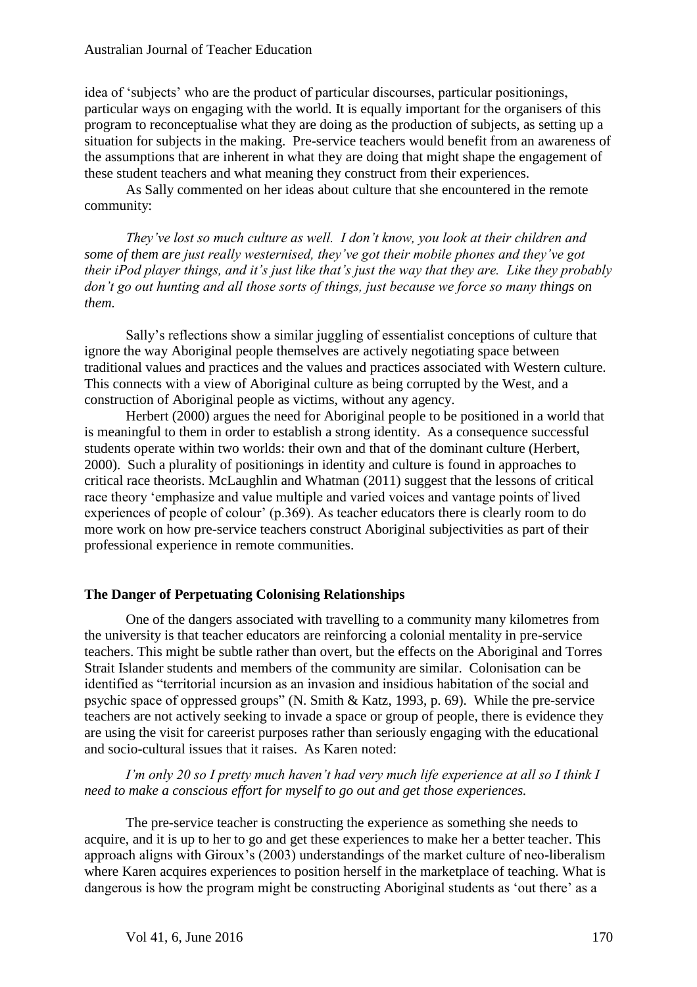idea of 'subjects' who are the product of particular discourses, particular positionings, particular ways on engaging with the world. It is equally important for the organisers of this program to reconceptualise what they are doing as the production of subjects, as setting up a situation for subjects in the making. Pre-service teachers would benefit from an awareness of the assumptions that are inherent in what they are doing that might shape the engagement of these student teachers and what meaning they construct from their experiences.

As Sally commented on her ideas about culture that she encountered in the remote community:

*They've lost so much culture as well. I don't know, you look at their children and some of them are just really westernised, they've got their mobile phones and they've got their iPod player things, and it's just like that's just the way that they are. Like they probably don't go out hunting and all those sorts of things, just because we force so many things on them.*

Sally's reflections show a similar juggling of essentialist conceptions of culture that ignore the way Aboriginal people themselves are actively negotiating space between traditional values and practices and the values and practices associated with Western culture. This connects with a view of Aboriginal culture as being corrupted by the West, and a construction of Aboriginal people as victims, without any agency.

Herbert (2000) argues the need for Aboriginal people to be positioned in a world that is meaningful to them in order to establish a strong identity. As a consequence successful students operate within two worlds: their own and that of the dominant culture (Herbert, 2000). Such a plurality of positionings in identity and culture is found in approaches to critical race theorists. McLaughlin and Whatman (2011) suggest that the lessons of critical race theory 'emphasize and value multiple and varied voices and vantage points of lived experiences of people of colour' (p.369). As teacher educators there is clearly room to do more work on how pre-service teachers construct Aboriginal subjectivities as part of their professional experience in remote communities.

#### **The Danger of Perpetuating Colonising Relationships**

One of the dangers associated with travelling to a community many kilometres from the university is that teacher educators are reinforcing a colonial mentality in pre-service teachers. This might be subtle rather than overt, but the effects on the Aboriginal and Torres Strait Islander students and members of the community are similar. Colonisation can be identified as "territorial incursion as an invasion and insidious habitation of the social and psychic space of oppressed groups" (N. Smith & Katz, 1993, p. 69). While the pre-service teachers are not actively seeking to invade a space or group of people, there is evidence they are using the visit for careerist purposes rather than seriously engaging with the educational and socio-cultural issues that it raises. As Karen noted:

*I'm only 20 so I pretty much haven't had very much life experience at all so I think I need to make a conscious effort for myself to go out and get those experiences.* 

The pre-service teacher is constructing the experience as something she needs to acquire, and it is up to her to go and get these experiences to make her a better teacher. This approach aligns with Giroux's (2003) understandings of the market culture of neo-liberalism where Karen acquires experiences to position herself in the marketplace of teaching. What is dangerous is how the program might be constructing Aboriginal students as 'out there' as a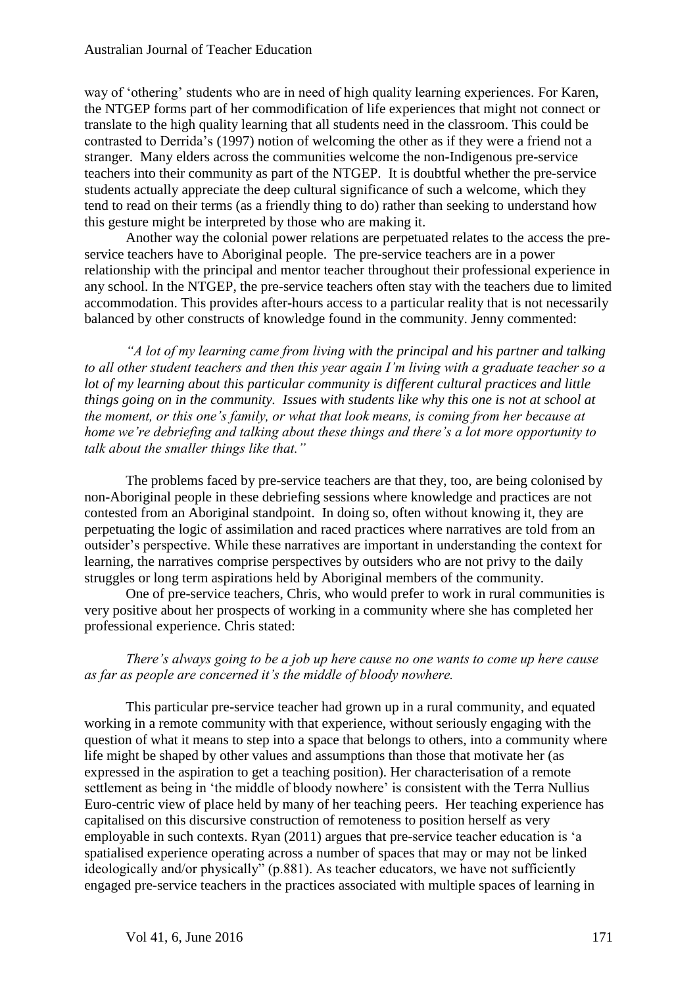way of 'othering' students who are in need of high quality learning experiences. For Karen, the NTGEP forms part of her commodification of life experiences that might not connect or translate to the high quality learning that all students need in the classroom. This could be contrasted to Derrida's (1997) notion of welcoming the other as if they were a friend not a stranger. Many elders across the communities welcome the non-Indigenous pre-service teachers into their community as part of the NTGEP. It is doubtful whether the pre-service students actually appreciate the deep cultural significance of such a welcome, which they tend to read on their terms (as a friendly thing to do) rather than seeking to understand how this gesture might be interpreted by those who are making it.

Another way the colonial power relations are perpetuated relates to the access the preservice teachers have to Aboriginal people. The pre-service teachers are in a power relationship with the principal and mentor teacher throughout their professional experience in any school. In the NTGEP, the pre-service teachers often stay with the teachers due to limited accommodation. This provides after-hours access to a particular reality that is not necessarily balanced by other constructs of knowledge found in the community. Jenny commented:

*"A lot of my learning came from living with the principal and his partner and talking to all other student teachers and then this year again I'm living with a graduate teacher so a lot of my learning about this particular community is different cultural practices and little things going on in the community. Issues with students like why this one is not at school at the moment, or this one's family, or what that look means, is coming from her because at home we're debriefing and talking about these things and there's a lot more opportunity to talk about the smaller things like that."*

The problems faced by pre-service teachers are that they, too, are being colonised by non-Aboriginal people in these debriefing sessions where knowledge and practices are not contested from an Aboriginal standpoint. In doing so, often without knowing it, they are perpetuating the logic of assimilation and raced practices where narratives are told from an outsider's perspective. While these narratives are important in understanding the context for learning, the narratives comprise perspectives by outsiders who are not privy to the daily struggles or long term aspirations held by Aboriginal members of the community.

One of pre-service teachers, Chris, who would prefer to work in rural communities is very positive about her prospects of working in a community where she has completed her professional experience. Chris stated:

#### *There's always going to be a job up here cause no one wants to come up here cause as far as people are concerned it's the middle of bloody nowhere.*

This particular pre-service teacher had grown up in a rural community, and equated working in a remote community with that experience, without seriously engaging with the question of what it means to step into a space that belongs to others, into a community where life might be shaped by other values and assumptions than those that motivate her (as expressed in the aspiration to get a teaching position). Her characterisation of a remote settlement as being in 'the middle of bloody nowhere' is consistent with the Terra Nullius Euro-centric view of place held by many of her teaching peers. Her teaching experience has capitalised on this discursive construction of remoteness to position herself as very employable in such contexts. Ryan (2011) argues that pre-service teacher education is 'a spatialised experience operating across a number of spaces that may or may not be linked ideologically and/or physically" (p.881). As teacher educators, we have not sufficiently engaged pre-service teachers in the practices associated with multiple spaces of learning in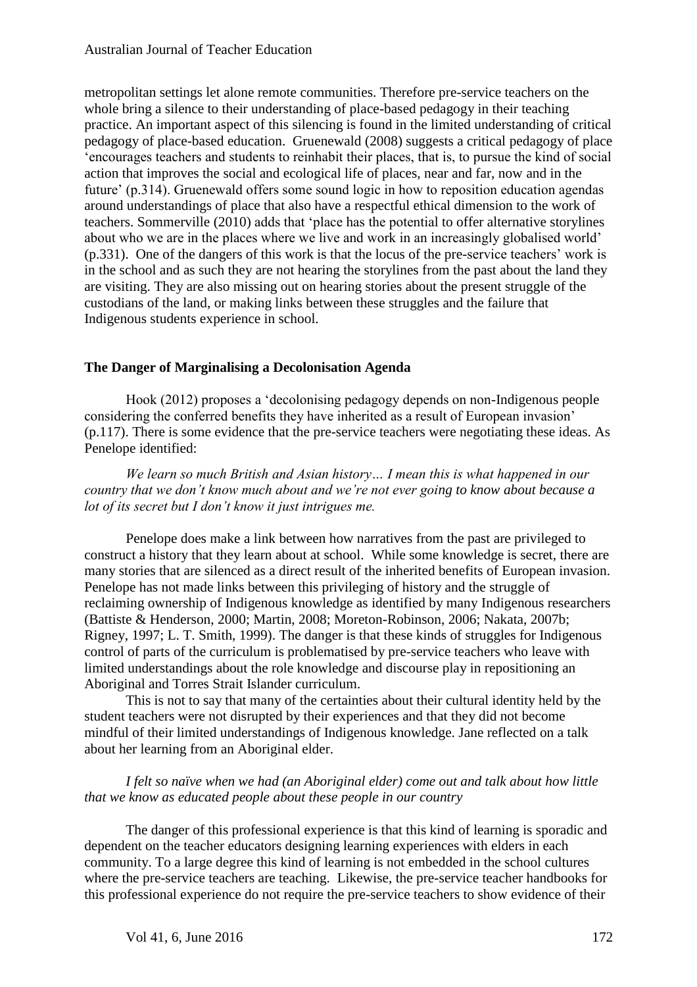metropolitan settings let alone remote communities. Therefore pre-service teachers on the whole bring a silence to their understanding of place-based pedagogy in their teaching practice. An important aspect of this silencing is found in the limited understanding of critical pedagogy of place-based education. Gruenewald (2008) suggests a critical pedagogy of place 'encourages teachers and students to reinhabit their places, that is, to pursue the kind of social action that improves the social and ecological life of places, near and far, now and in the future' (p.314). Gruenewald offers some sound logic in how to reposition education agendas around understandings of place that also have a respectful ethical dimension to the work of teachers. Sommerville (2010) adds that 'place has the potential to offer alternative storylines about who we are in the places where we live and work in an increasingly globalised world' (p.331). One of the dangers of this work is that the locus of the pre-service teachers' work is in the school and as such they are not hearing the storylines from the past about the land they are visiting. They are also missing out on hearing stories about the present struggle of the custodians of the land, or making links between these struggles and the failure that Indigenous students experience in school.

## **The Danger of Marginalising a Decolonisation Agenda**

Hook (2012) proposes a 'decolonising pedagogy depends on non-Indigenous people considering the conferred benefits they have inherited as a result of European invasion' (p.117). There is some evidence that the pre-service teachers were negotiating these ideas. As Penelope identified:

*We learn so much British and Asian history… I mean this is what happened in our country that we don't know much about and we're not ever going to know about because a lot of its secret but I don't know it just intrigues me.*

Penelope does make a link between how narratives from the past are privileged to construct a history that they learn about at school. While some knowledge is secret, there are many stories that are silenced as a direct result of the inherited benefits of European invasion. Penelope has not made links between this privileging of history and the struggle of reclaiming ownership of Indigenous knowledge as identified by many Indigenous researchers (Battiste & Henderson, 2000; Martin, 2008; Moreton-Robinson, 2006; Nakata, 2007b; Rigney, 1997; L. T. Smith, 1999). The danger is that these kinds of struggles for Indigenous control of parts of the curriculum is problematised by pre-service teachers who leave with limited understandings about the role knowledge and discourse play in repositioning an Aboriginal and Torres Strait Islander curriculum.

This is not to say that many of the certainties about their cultural identity held by the student teachers were not disrupted by their experiences and that they did not become mindful of their limited understandings of Indigenous knowledge. Jane reflected on a talk about her learning from an Aboriginal elder.

## *I felt so naïve when we had (an Aboriginal elder) come out and talk about how little that we know as educated people about these people in our country*

The danger of this professional experience is that this kind of learning is sporadic and dependent on the teacher educators designing learning experiences with elders in each community. To a large degree this kind of learning is not embedded in the school cultures where the pre-service teachers are teaching. Likewise, the pre-service teacher handbooks for this professional experience do not require the pre-service teachers to show evidence of their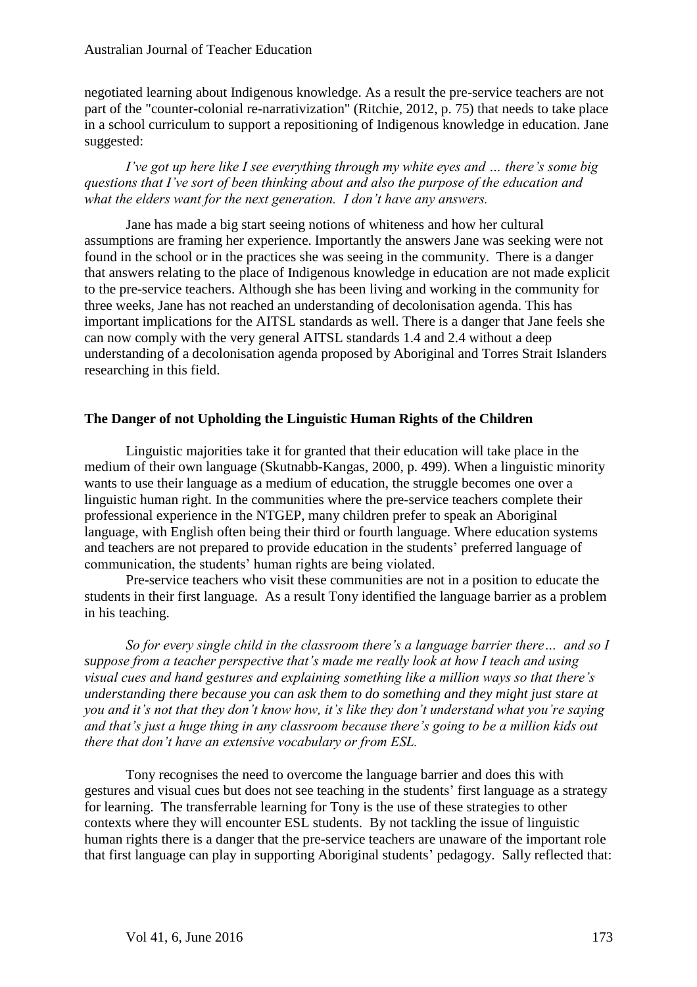negotiated learning about Indigenous knowledge. As a result the pre-service teachers are not part of the "counter-colonial re-narrativization" (Ritchie, 2012, p. 75) that needs to take place in a school curriculum to support a repositioning of Indigenous knowledge in education. Jane suggested:

*I've got up here like I see everything through my white eyes and … there's some big questions that I've sort of been thinking about and also the purpose of the education and what the elders want for the next generation. I don't have any answers.* 

Jane has made a big start seeing notions of whiteness and how her cultural assumptions are framing her experience. Importantly the answers Jane was seeking were not found in the school or in the practices she was seeing in the community. There is a danger that answers relating to the place of Indigenous knowledge in education are not made explicit to the pre-service teachers. Although she has been living and working in the community for three weeks, Jane has not reached an understanding of decolonisation agenda. This has important implications for the AITSL standards as well. There is a danger that Jane feels she can now comply with the very general AITSL standards 1.4 and 2.4 without a deep understanding of a decolonisation agenda proposed by Aboriginal and Torres Strait Islanders researching in this field.

#### **The Danger of not Upholding the Linguistic Human Rights of the Children**

Linguistic majorities take it for granted that their education will take place in the medium of their own language (Skutnabb-Kangas, 2000, p. 499). When a linguistic minority wants to use their language as a medium of education, the struggle becomes one over a linguistic human right. In the communities where the pre-service teachers complete their professional experience in the NTGEP, many children prefer to speak an Aboriginal language, with English often being their third or fourth language. Where education systems and teachers are not prepared to provide education in the students' preferred language of communication, the students' human rights are being violated.

Pre-service teachers who visit these communities are not in a position to educate the students in their first language. As a result Tony identified the language barrier as a problem in his teaching.

*So for every single child in the classroom there's a language barrier there… and so I suppose from a teacher perspective that's made me really look at how I teach and using visual cues and hand gestures and explaining something like a million ways so that there's understanding there because you can ask them to do something and they might just stare at you and it's not that they don't know how, it's like they don't understand what you're saying and that's just a huge thing in any classroom because there's going to be a million kids out there that don't have an extensive vocabulary or from ESL.*

Tony recognises the need to overcome the language barrier and does this with gestures and visual cues but does not see teaching in the students' first language as a strategy for learning. The transferrable learning for Tony is the use of these strategies to other contexts where they will encounter ESL students. By not tackling the issue of linguistic human rights there is a danger that the pre-service teachers are unaware of the important role that first language can play in supporting Aboriginal students' pedagogy. Sally reflected that: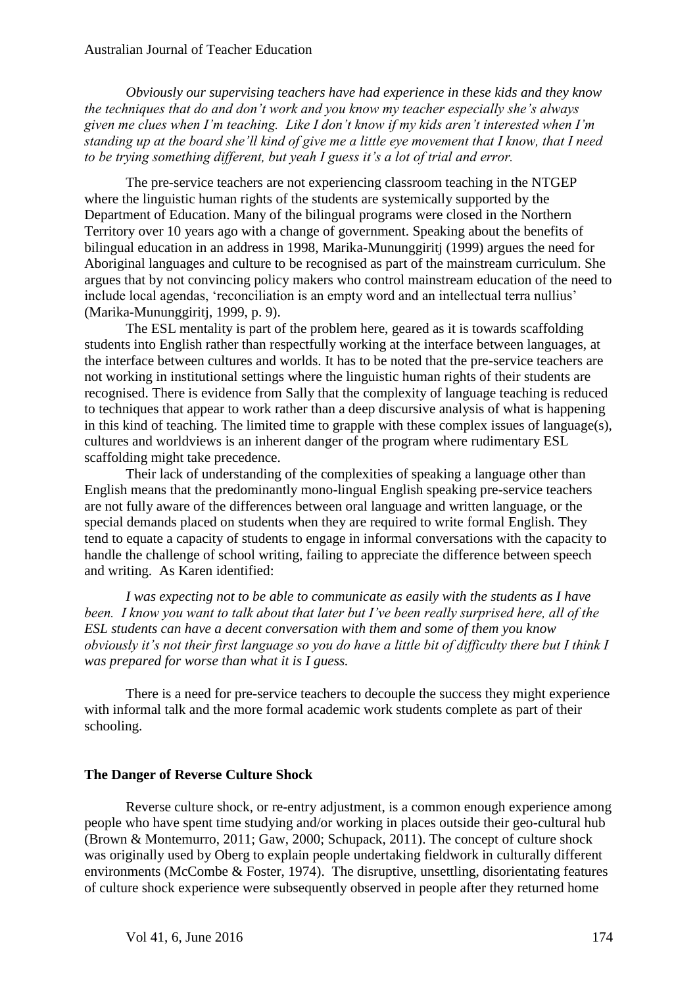*Obviously our supervising teachers have had experience in these kids and they know the techniques that do and don't work and you know my teacher especially she's always given me clues when I'm teaching. Like I don't know if my kids aren't interested when I'm standing up at the board she'll kind of give me a little eye movement that I know, that I need to be trying something different, but yeah I guess it's a lot of trial and error.*

The pre-service teachers are not experiencing classroom teaching in the NTGEP where the linguistic human rights of the students are systemically supported by the Department of Education. Many of the bilingual programs were closed in the Northern Territory over 10 years ago with a change of government. Speaking about the benefits of bilingual education in an address in 1998, Marika-Mununggiritj (1999) argues the need for Aboriginal languages and culture to be recognised as part of the mainstream curriculum. She argues that by not convincing policy makers who control mainstream education of the need to include local agendas, 'reconciliation is an empty word and an intellectual terra nullius' (Marika-Mununggiritj, 1999, p. 9).

The ESL mentality is part of the problem here, geared as it is towards scaffolding students into English rather than respectfully working at the interface between languages, at the interface between cultures and worlds. It has to be noted that the pre-service teachers are not working in institutional settings where the linguistic human rights of their students are recognised. There is evidence from Sally that the complexity of language teaching is reduced to techniques that appear to work rather than a deep discursive analysis of what is happening in this kind of teaching. The limited time to grapple with these complex issues of language(s), cultures and worldviews is an inherent danger of the program where rudimentary ESL scaffolding might take precedence.

Their lack of understanding of the complexities of speaking a language other than English means that the predominantly mono-lingual English speaking pre-service teachers are not fully aware of the differences between oral language and written language, or the special demands placed on students when they are required to write formal English. They tend to equate a capacity of students to engage in informal conversations with the capacity to handle the challenge of school writing, failing to appreciate the difference between speech and writing. As Karen identified:

*I was expecting not to be able to communicate as easily with the students as I have been. I know you want to talk about that later but I've been really surprised here, all of the ESL students can have a decent conversation with them and some of them you know obviously it's not their first language so you do have a little bit of difficulty there but I think I was prepared for worse than what it is I guess.* 

There is a need for pre-service teachers to decouple the success they might experience with informal talk and the more formal academic work students complete as part of their schooling.

#### **The Danger of Reverse Culture Shock**

Reverse culture shock, or re-entry adjustment, is a common enough experience among people who have spent time studying and/or working in places outside their geo-cultural hub (Brown & Montemurro, 2011; Gaw, 2000; Schupack, 2011). The concept of culture shock was originally used by Oberg to explain people undertaking fieldwork in culturally different environments (McCombe & Foster, 1974). The disruptive, unsettling, disorientating features of culture shock experience were subsequently observed in people after they returned home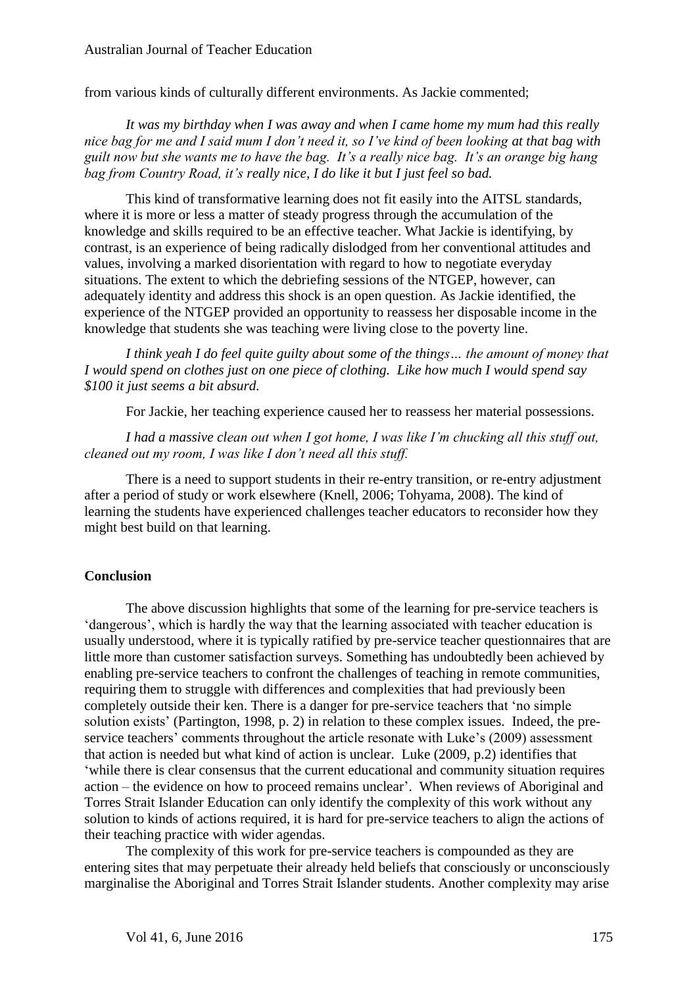from various kinds of culturally different environments. As Jackie commented;

*It was my birthday when I was away and when I came home my mum had this really nice bag for me and I said mum I don't need it, so I've kind of been looking at that bag with guilt now but she wants me to have the bag. It's a really nice bag. It's an orange big hang bag from Country Road, it's really nice, I do like it but I just feel so bad.*

This kind of transformative learning does not fit easily into the AITSL standards, where it is more or less a matter of steady progress through the accumulation of the knowledge and skills required to be an effective teacher. What Jackie is identifying, by contrast, is an experience of being radically dislodged from her conventional attitudes and values, involving a marked disorientation with regard to how to negotiate everyday situations. The extent to which the debriefing sessions of the NTGEP, however, can adequately identity and address this shock is an open question. As Jackie identified, the experience of the NTGEP provided an opportunity to reassess her disposable income in the knowledge that students she was teaching were living close to the poverty line.

*I think yeah I do feel quite guilty about some of the things… the amount of money that I would spend on clothes just on one piece of clothing. Like how much I would spend say \$100 it just seems a bit absurd.* 

For Jackie, her teaching experience caused her to reassess her material possessions.

*I had a massive clean out when I got home, I was like I'm chucking all this stuff out, cleaned out my room, I was like I don't need all this stuff.* 

There is a need to support students in their re-entry transition, or re-entry adjustment after a period of study or work elsewhere (Knell, 2006; Tohyama, 2008). The kind of learning the students have experienced challenges teacher educators to reconsider how they might best build on that learning.

## **Conclusion**

The above discussion highlights that some of the learning for pre-service teachers is 'dangerous', which is hardly the way that the learning associated with teacher education is usually understood, where it is typically ratified by pre-service teacher questionnaires that are little more than customer satisfaction surveys. Something has undoubtedly been achieved by enabling pre-service teachers to confront the challenges of teaching in remote communities, requiring them to struggle with differences and complexities that had previously been completely outside their ken. There is a danger for pre-service teachers that 'no simple solution exists' (Partington, 1998, p. 2) in relation to these complex issues. Indeed, the preservice teachers' comments throughout the article resonate with Luke's (2009) assessment that action is needed but what kind of action is unclear. Luke (2009, p.2) identifies that 'while there is clear consensus that the current educational and community situation requires action – the evidence on how to proceed remains unclear'. When reviews of Aboriginal and Torres Strait Islander Education can only identify the complexity of this work without any solution to kinds of actions required, it is hard for pre-service teachers to align the actions of their teaching practice with wider agendas.

The complexity of this work for pre-service teachers is compounded as they are entering sites that may perpetuate their already held beliefs that consciously or unconsciously marginalise the Aboriginal and Torres Strait Islander students. Another complexity may arise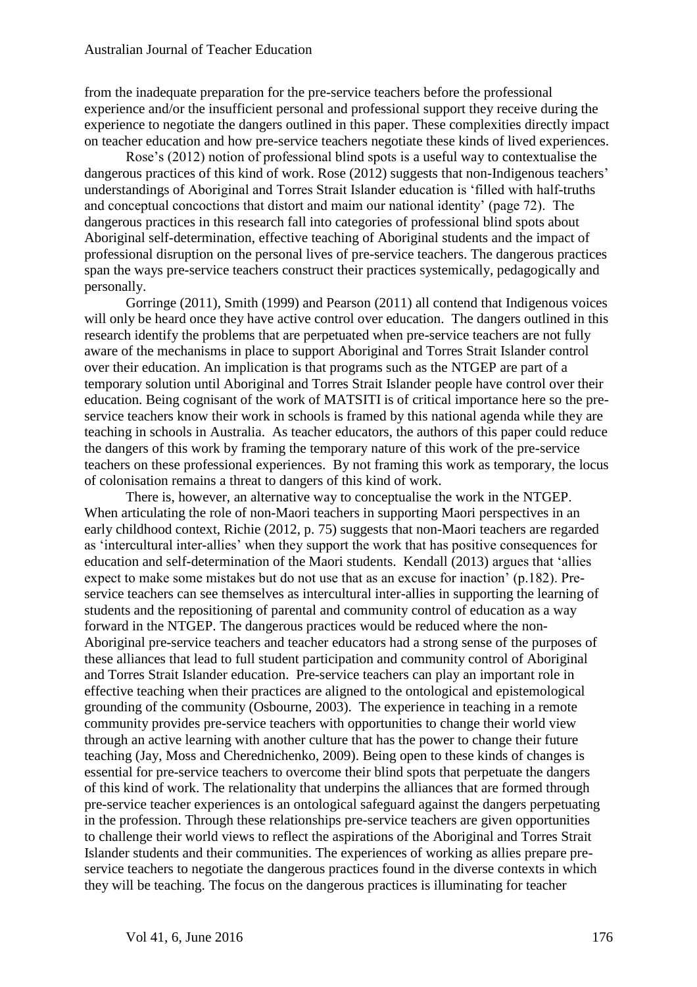from the inadequate preparation for the pre-service teachers before the professional experience and/or the insufficient personal and professional support they receive during the experience to negotiate the dangers outlined in this paper. These complexities directly impact on teacher education and how pre-service teachers negotiate these kinds of lived experiences.

Rose's (2012) notion of professional blind spots is a useful way to contextualise the dangerous practices of this kind of work. Rose (2012) suggests that non-Indigenous teachers' understandings of Aboriginal and Torres Strait Islander education is 'filled with half-truths and conceptual concoctions that distort and maim our national identity' (page 72). The dangerous practices in this research fall into categories of professional blind spots about Aboriginal self-determination, effective teaching of Aboriginal students and the impact of professional disruption on the personal lives of pre-service teachers. The dangerous practices span the ways pre-service teachers construct their practices systemically, pedagogically and personally.

Gorringe (2011), Smith (1999) and Pearson (2011) all contend that Indigenous voices will only be heard once they have active control over education. The dangers outlined in this research identify the problems that are perpetuated when pre-service teachers are not fully aware of the mechanisms in place to support Aboriginal and Torres Strait Islander control over their education. An implication is that programs such as the NTGEP are part of a temporary solution until Aboriginal and Torres Strait Islander people have control over their education. Being cognisant of the work of MATSITI is of critical importance here so the preservice teachers know their work in schools is framed by this national agenda while they are teaching in schools in Australia. As teacher educators, the authors of this paper could reduce the dangers of this work by framing the temporary nature of this work of the pre-service teachers on these professional experiences. By not framing this work as temporary, the locus of colonisation remains a threat to dangers of this kind of work.

There is, however, an alternative way to conceptualise the work in the NTGEP. When articulating the role of non-Maori teachers in supporting Maori perspectives in an early childhood context, Richie (2012, p. 75) suggests that non-Maori teachers are regarded as 'intercultural inter-allies' when they support the work that has positive consequences for education and self-determination of the Maori students. Kendall (2013) argues that 'allies expect to make some mistakes but do not use that as an excuse for inaction' (p.182). Preservice teachers can see themselves as intercultural inter-allies in supporting the learning of students and the repositioning of parental and community control of education as a way forward in the NTGEP. The dangerous practices would be reduced where the non-Aboriginal pre-service teachers and teacher educators had a strong sense of the purposes of these alliances that lead to full student participation and community control of Aboriginal and Torres Strait Islander education. Pre-service teachers can play an important role in effective teaching when their practices are aligned to the ontological and epistemological grounding of the community (Osbourne, 2003). The experience in teaching in a remote community provides pre-service teachers with opportunities to change their world view through an active learning with another culture that has the power to change their future teaching (Jay, Moss and Cherednichenko, 2009). Being open to these kinds of changes is essential for pre-service teachers to overcome their blind spots that perpetuate the dangers of this kind of work. The relationality that underpins the alliances that are formed through pre-service teacher experiences is an ontological safeguard against the dangers perpetuating in the profession. Through these relationships pre-service teachers are given opportunities to challenge their world views to reflect the aspirations of the Aboriginal and Torres Strait Islander students and their communities. The experiences of working as allies prepare preservice teachers to negotiate the dangerous practices found in the diverse contexts in which they will be teaching. The focus on the dangerous practices is illuminating for teacher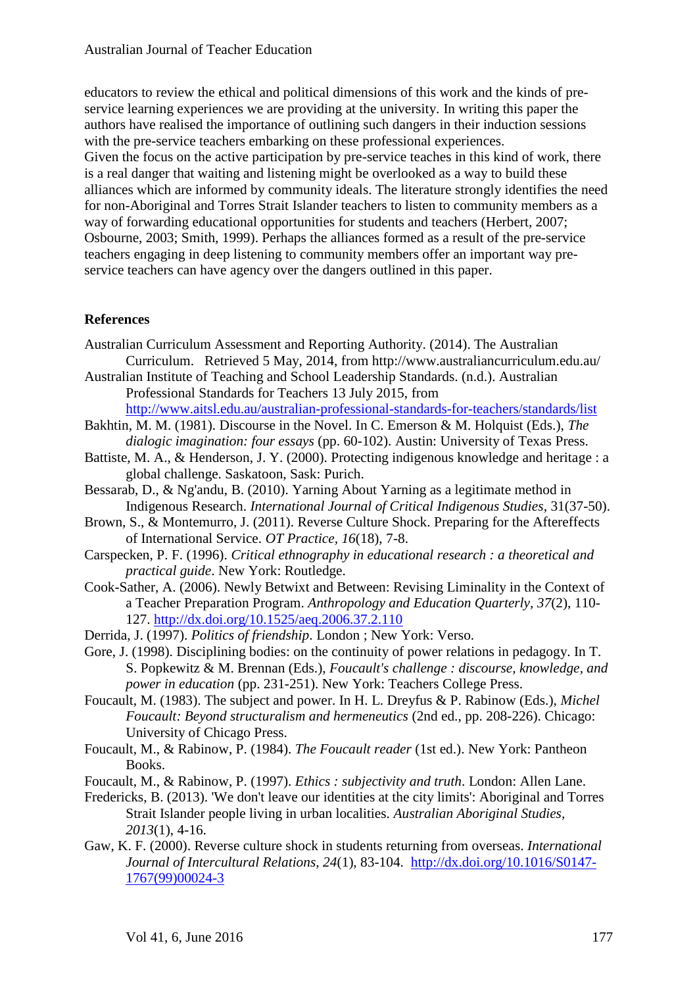educators to review the ethical and political dimensions of this work and the kinds of preservice learning experiences we are providing at the university. In writing this paper the authors have realised the importance of outlining such dangers in their induction sessions with the pre-service teachers embarking on these professional experiences. Given the focus on the active participation by pre-service teaches in this kind of work, there is a real danger that waiting and listening might be overlooked as a way to build these alliances which are informed by community ideals. The literature strongly identifies the need for non-Aboriginal and Torres Strait Islander teachers to listen to community members as a way of forwarding educational opportunities for students and teachers (Herbert, 2007; Osbourne, 2003; Smith, 1999). Perhaps the alliances formed as a result of the pre-service teachers engaging in deep listening to community members offer an important way preservice teachers can have agency over the dangers outlined in this paper.

## **References**

- Australian Curriculum Assessment and Reporting Authority. (2014). The Australian Curriculum. Retrieved 5 May, 2014, from http://www.australiancurriculum.edu.au/
- Australian Institute of Teaching and School Leadership Standards. (n.d.). Australian Professional Standards for Teachers 13 July 2015, from
- <http://www.aitsl.edu.au/australian-professional-standards-for-teachers/standards/list>
- Bakhtin, M. M. (1981). Discourse in the Novel. In C. Emerson & M. Holquist (Eds.), *The dialogic imagination: four essays* (pp. 60-102). Austin: University of Texas Press.
- Battiste, M. A., & Henderson, J. Y. (2000). Protecting indigenous knowledge and heritage : a global challenge. Saskatoon, Sask: Purich.
- Bessarab, D., & Ng'andu, B. (2010). Yarning About Yarning as a legitimate method in Indigenous Research. *International Journal of Critical Indigenous Studies*, 31(37-50).
- Brown, S., & Montemurro, J. (2011). Reverse Culture Shock. Preparing for the Aftereffects of International Service. *OT Practice, 16*(18), 7-8.
- Carspecken, P. F. (1996). *Critical ethnography in educational research : a theoretical and practical guide*. New York: Routledge.
- Cook-Sather, A. (2006). Newly Betwixt and Between: Revising Liminality in the Context of a Teacher Preparation Program. *Anthropology and Education Quarterly, 37*(2), 110- 127.<http://dx.doi.org/10.1525/aeq.2006.37.2.110>
- Derrida, J. (1997). *Politics of friendship*. London ; New York: Verso.
- Gore, J. (1998). Disciplining bodies: on the continuity of power relations in pedagogy. In T. S. Popkewitz & M. Brennan (Eds.), *Foucault's challenge : discourse, knowledge, and power in education* (pp. 231-251). New York: Teachers College Press.
- Foucault, M. (1983). The subject and power. In H. L. Dreyfus & P. Rabinow (Eds.), *Michel Foucault: Beyond structuralism and hermeneutics* (2nd ed., pp. 208-226). Chicago: University of Chicago Press.
- Foucault, M., & Rabinow, P. (1984). *The Foucault reader* (1st ed.). New York: Pantheon Books.
- Foucault, M., & Rabinow, P. (1997). *Ethics : subjectivity and truth*. London: Allen Lane.
- Fredericks, B. (2013). 'We don't leave our identities at the city limits': Aboriginal and Torres Strait Islander people living in urban localities. *Australian Aboriginal Studies, 2013*(1), 4-16.
- Gaw, K. F. (2000). Reverse culture shock in students returning from overseas. *International Journal of Intercultural Relations, 24*(1), 83-104. [http://dx.doi.org/10.1016/S0147-](http://dx.doi.org/10.1016/S0147-1767(99)00024-3) [1767\(99\)00024-3](http://dx.doi.org/10.1016/S0147-1767(99)00024-3)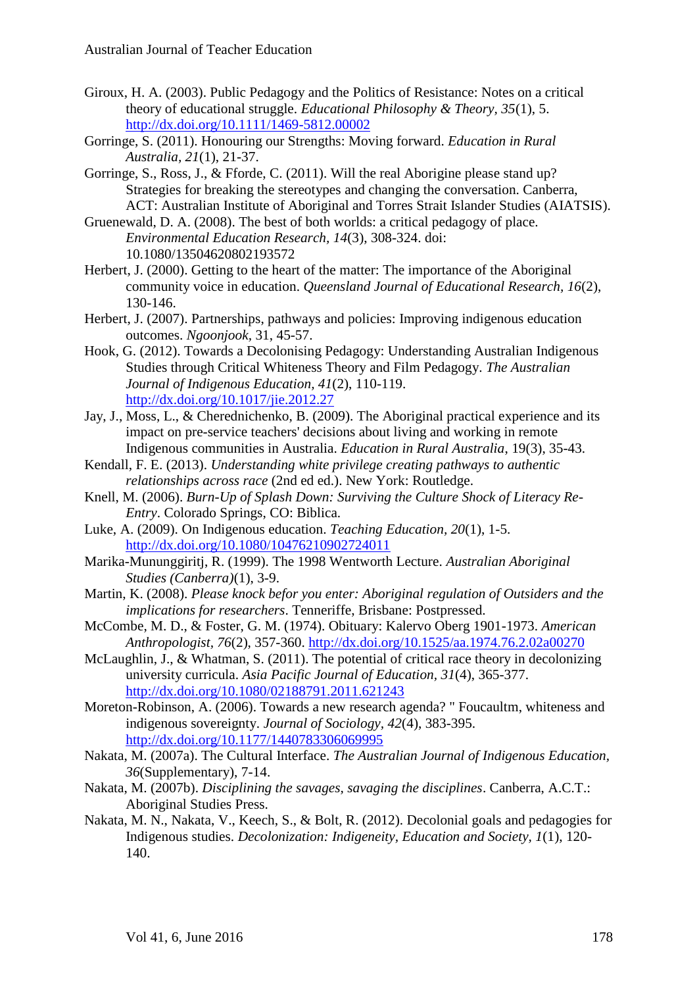- Giroux, H. A. (2003). Public Pedagogy and the Politics of Resistance: Notes on a critical theory of educational struggle. *Educational Philosophy & Theory, 35*(1), 5. <http://dx.doi.org/10.1111/1469-5812.00002>
- Gorringe, S. (2011). Honouring our Strengths: Moving forward. *Education in Rural Australia, 21*(1), 21-37.
- Gorringe, S., Ross, J., & Fforde, C. (2011). Will the real Aborigine please stand up? Strategies for breaking the stereotypes and changing the conversation. Canberra, ACT: Australian Institute of Aboriginal and Torres Strait Islander Studies (AIATSIS).
- Gruenewald, D. A. (2008). The best of both worlds: a critical pedagogy of place. *Environmental Education Research, 14*(3), 308-324. doi: 10.1080/13504620802193572
- Herbert, J. (2000). Getting to the heart of the matter: The importance of the Aboriginal community voice in education. *Queensland Journal of Educational Research, 16*(2), 130-146.
- Herbert, J. (2007). Partnerships, pathways and policies: Improving indigenous education outcomes. *Ngoonjook,* 31, 45-57.
- Hook, G. (2012). Towards a Decolonising Pedagogy: Understanding Australian Indigenous Studies through Critical Whiteness Theory and Film Pedagogy. *The Australian Journal of Indigenous Education, 41*(2), 110-119. <http://dx.doi.org/10.1017/jie.2012.27>
- Jay, J., Moss, L., & Cherednichenko, B. (2009). The Aboriginal practical experience and its impact on pre-service teachers' decisions about living and working in remote Indigenous communities in Australia. *Education in Rural Australia*, 19(3), 35-43.
- Kendall, F. E. (2013). *Understanding white privilege creating pathways to authentic relationships across race* (2nd ed ed.). New York: Routledge.
- Knell, M. (2006). *Burn-Up of Splash Down: Surviving the Culture Shock of Literacy Re-Entry*. Colorado Springs, CO: Biblica.
- Luke, A. (2009). On Indigenous education. *Teaching Education, 20*(1), 1-5. <http://dx.doi.org/10.1080/10476210902724011>
- Marika-Mununggiritj, R. (1999). The 1998 Wentworth Lecture. *Australian Aboriginal Studies (Canberra)*(1), 3-9.
- Martin, K. (2008). *Please knock befor you enter: Aboriginal regulation of Outsiders and the implications for researchers*. Tenneriffe, Brisbane: Postpressed.
- McCombe, M. D., & Foster, G. M. (1974). Obituary: Kalervo Oberg 1901-1973. *American Anthropologist, 76*(2), 357-360.<http://dx.doi.org/10.1525/aa.1974.76.2.02a00270>
- McLaughlin, J., & Whatman, S. (2011). The potential of critical race theory in decolonizing university curricula. *Asia Pacific Journal of Education, 31*(4), 365-377. <http://dx.doi.org/10.1080/02188791.2011.621243>
- Moreton-Robinson, A. (2006). Towards a new research agenda? " Foucaultm, whiteness and indigenous sovereignty. *Journal of Sociology, 42*(4), 383-395. <http://dx.doi.org/10.1177/1440783306069995>
- Nakata, M. (2007a). The Cultural Interface. *The Australian Journal of Indigenous Education, 36*(Supplementary), 7-14.
- Nakata, M. (2007b). *Disciplining the savages, savaging the disciplines*. Canberra, A.C.T.: Aboriginal Studies Press.
- Nakata, M. N., Nakata, V., Keech, S., & Bolt, R. (2012). Decolonial goals and pedagogies for Indigenous studies. *Decolonization: Indigeneity, Education and Society, 1*(1), 120- 140.